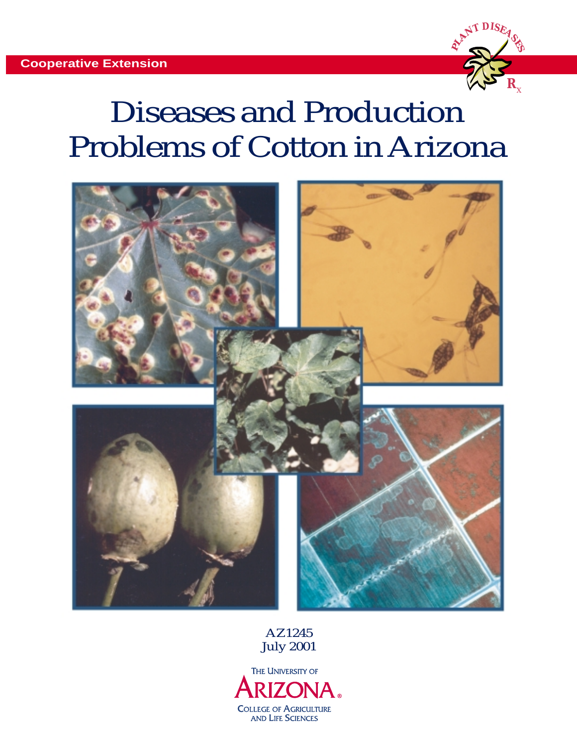

# Diseases and Production Problems of Cotton in Arizona



AZ1245 July 2001

THE UNIVERSITY OF **RIZONA COLLEGE OF AGRICULTURE AND LIFE SCIENCES**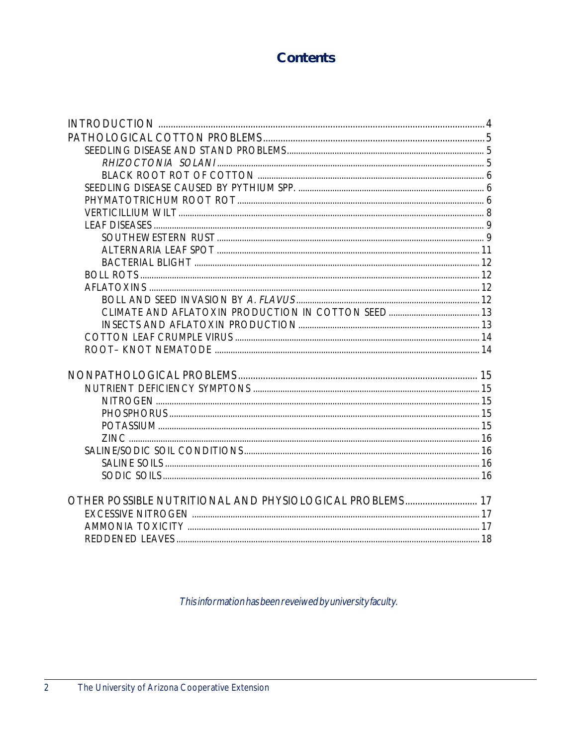# **Contents**

| OTHER POSSIBLE NUTRITIONAL AND PHYSIOLOGICAL PROBLEMS 17 |  |
|----------------------------------------------------------|--|
|                                                          |  |
|                                                          |  |
|                                                          |  |
|                                                          |  |

This information has been reveiwed by university faculty.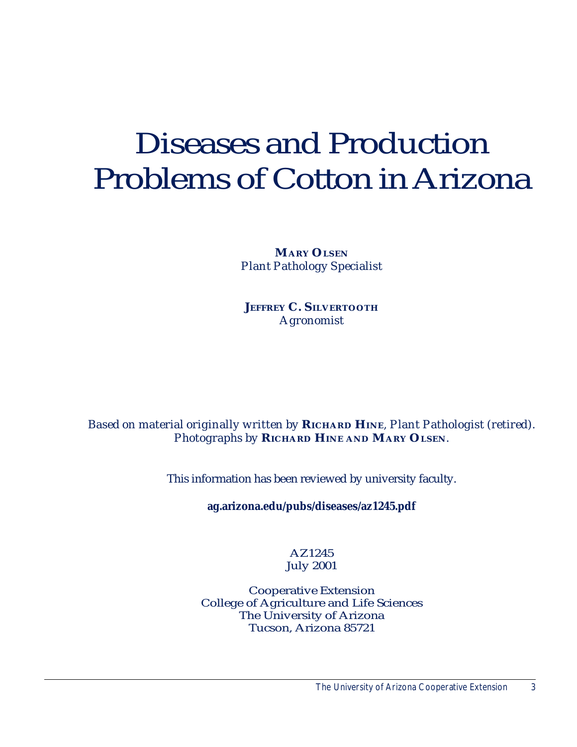# Diseases and Production Problems of Cotton in Arizona

**MARY OLSEN** *Plant Pathology Specialist*

**JEFFREY C. SILVERTOOTH** *Agronomist*

# *Based on material originally written by* **RICHARD HINE***, Plant Pathologist (retired). Photographs by* **RICHARD HINE AND MARY OLSEN***.*

This information has been reviewed by university faculty.

**ag.arizona.edu/pubs/diseases/az1245.pdf**

# AZ1245 July 2001

Cooperative Extension College of Agriculture and Life Sciences The University of Arizona Tucson, Arizona 85721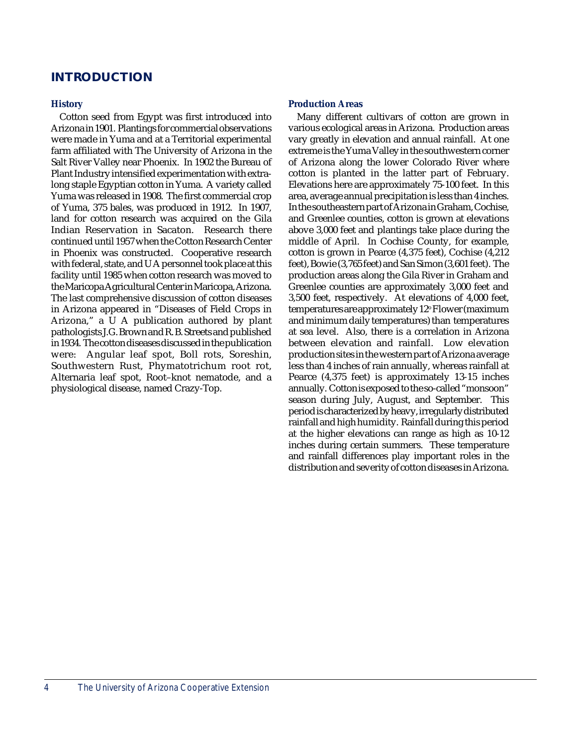# **INTRODUCTION**

#### **History**

Cotton seed from Egypt was first introduced into Arizona in 1901. Plantings for commercial observations were made in Yuma and at a Territorial experimental farm affiliated with The University of Arizona in the Salt River Valley near Phoenix. In 1902 the Bureau of Plant Industry intensified experimentation with extralong staple Egyptian cotton in Yuma. A variety called Yuma was released in 1908. The first commercial crop of Yuma, 375 bales, was produced in 1912. In 1907, land for cotton research was acquired on the Gila Indian Reservation in Sacaton. Research there continued until 1957 when the Cotton Research Center in Phoenix was constructed. Cooperative research with federal, state, and U A personnel took place at this facility until 1985 when cotton research was moved to the Maricopa Agricultural Center in Maricopa, Arizona. The last comprehensive discussion of cotton diseases in Arizona appeared in "Diseases of Field Crops in Arizona," a U A publication authored by plant pathologists J.G. Brown and R. B. Streets and published in 1934. The cotton diseases discussed in the publication were: Angular leaf spot, Boll rots, Soreshin, Southwestern Rust, Phymatotrichum root rot, Alternaria leaf spot, Root–knot nematode, and a physiological disease, named Crazy-Top.

#### **Production Areas**

Many different cultivars of cotton are grown in various ecological areas in Arizona. Production areas vary greatly in elevation and annual rainfall. At one extreme is the Yuma Valley in the southwestern corner of Arizona along the lower Colorado River where cotton is planted in the latter part of February. Elevations here are approximately 75-100 feet. In this area, average annual precipitation is less than 4 inches. In the southeastern part of Arizona in Graham, Cochise, and Greenlee counties, cotton is grown at elevations above 3,000 feet and plantings take place during the middle of April. In Cochise County, for example, cotton is grown in Pearce (4,375 feet), Cochise (4,212 feet), Bowie (3,765 feet) and San Simon (3,601 feet). The production areas along the Gila River in Graham and Greenlee counties are approximately 3,000 feet and 3,500 feet, respectively. At elevations of 4,000 feet, temperatures are approximately 12º F lower (maximum and minimum daily temperatures) than temperatures at sea level. Also, there is a correlation in Arizona between elevation and rainfall. Low elevation production sites in the western part of Arizona average less than 4 inches of rain annually, whereas rainfall at Pearce (4,375 feet) is approximately 13-15 inches annually. Cotton is exposed to the so-called "monsoon" season during July, August, and September. This period is characterized by heavy, irregularly distributed rainfall and high humidity. Rainfall during this period at the higher elevations can range as high as 10-12 inches during certain summers. These temperature and rainfall differences play important roles in the distribution and severity of cotton diseases in Arizona.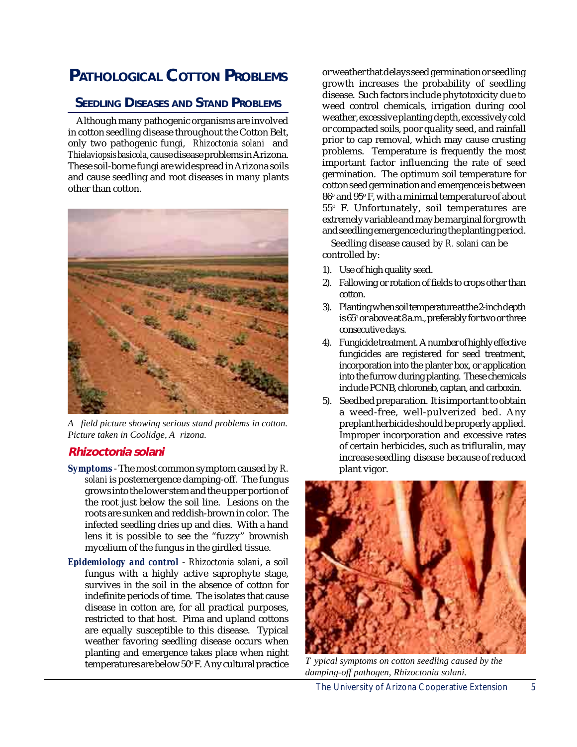# **PATHOLOGICAL COTTON PROBLEMS**

# **SEEDLING DISEASES AND STAND PROBLEMS**

Although many pathogenic organisms are involved in cotton seedling disease throughout the Cotton Belt, only two pathogenic fungi, *Rhizoctonia solani* and *Thielaviopsisbasicola*, cause disease problems in Arizona. These soil-borne fungi are widespread in Arizona soils and cause seedling and root diseases in many plants other than cotton.



*A field picture showing serious stand problems in cotton. Picture taken in Coolidge, A rizona.*

# **Rhizoctonia solani**

- *Symptoms*  The most common symptom caused by *R. solani* is postemergence damping-off. The fungus grows into the lower stem and the upper portion of the root just below the soil line. Lesions on the roots are sunken and reddish-brown in color. The infected seedling dries up and dies. With a hand lens it is possible to see the "fuzzy" brownish mycelium of the fungus in the girdled tissue.
- *Epidemiology and control Rhizoctonia solani*, a soil fungus with a highly active saprophyte stage, survives in the soil in the absence of cotton for indefinite periods of time. The isolates that cause disease in cotton are, for all practical purposes, restricted to that host. Pima and upland cottons are equally susceptible to this disease. Typical weather favoring seedling disease occurs when planting and emergence takes place when night temperatures are below 50° F. Any cultural practice

or weather that delays seed germination or seedling growth increases the probability of seedling disease. Such factors include phytotoxicity due to weed control chemicals, irrigation during cool weather, excessive planting depth, excessively cold or compacted soils, poor quality seed, and rainfall prior to cap removal, which may cause crusting problems. Temperature is frequently the most important factor influencing the rate of seed germination. The optimum soil temperature for cotton seed germination and emergence is between  $86^\circ$  and  $95^\circ$  F, with a minimal temperature of about 55o F. Unfortunately, soil temperatures are extremely variable and may be marginal for growth and seedling emergence during the planting period.

Seedling disease caused by *R. solani* can be controlled by:

- 1). Use of high quality seed.
- 2). Fallowing or rotation of fields to crops other than cotton.
- 3). Planting when soil temperature at the 2-inch depth is 65° or above at 8 a.m., preferably for two or three consecutive days.
- 4). Fungicide treatment. A number of highly effective fungicides are registered for seed treatment, incorporation into the planter box, or application into the furrow during planting. These chemicals include PCNB, chloroneb, captan, and carboxin.
- 5). Seedbed preparation. It is important to obtain a weed-free, well-pulverized bed. Any preplant herbicide should be properly applied. Improper incorporation and excessive rates of certain herbicides, such as trifluralin, may increase seedling disease because of reduced plant vigor.



*T ypical symptoms on cotton seedling caused by the damping-off pathogen, Rhizoctonia solani.*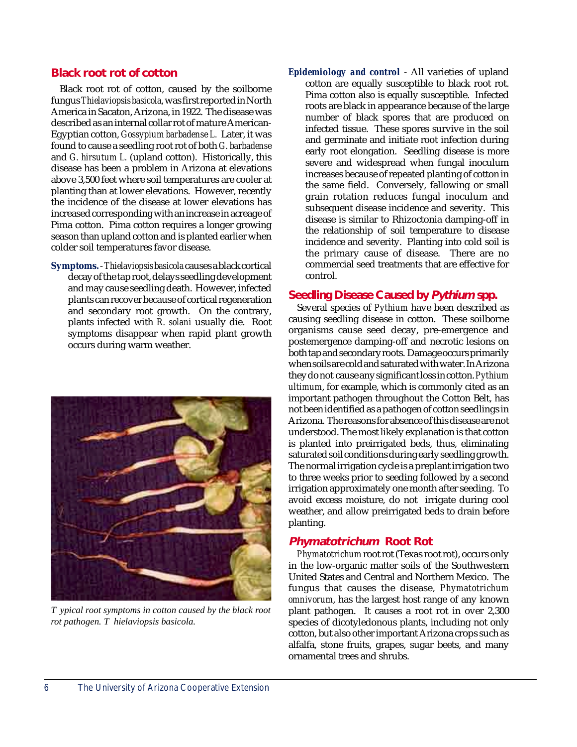#### **Black root rot of cotton**

Black root rot of cotton, caused by the soilborne fungus *Thielaviopsis basicola*, was first reported in North America in Sacaton, Arizona, in 1922. The disease was described as an internal collar rot of mature American-Egyptian cotton, *Gossypium barbadense L.* Later, it was found to cause a seedling root rot of both *G. barbadense* and *G. hirsutum L.* (upland cotton). Historically, this disease has been a problem in Arizona at elevations above 3,500 feet where soil temperatures are cooler at planting than at lower elevations. However, recently the incidence of the disease at lower elevations has increased corresponding with an increase in acreage of Pima cotton. Pima cotton requires a longer growing season than upland cotton and is planted earlier when colder soil temperatures favor disease.

**Symptoms.** - *Thielaviopsis basicola* causes a black cortical decay of the tap root, delays seedling development and may cause seedling death. However, infected plants can recover because of cortical regeneration and secondary root growth. On the contrary, plants infected with *R. solani* usually die. Root symptoms disappear when rapid plant growth occurs during warm weather.



*T ypical root symptoms in cotton caused by the black root rot pathogen. T hielaviopsis basicola.*

*Epidemiology and control* - All varieties of upland cotton are equally susceptible to black root rot. Pima cotton also is equally susceptible. Infected roots are black in appearance because of the large number of black spores that are produced on infected tissue. These spores survive in the soil and germinate and initiate root infection during early root elongation. Seedling disease is more severe and widespread when fungal inoculum increases because of repeated planting of cotton in the same field. Conversely, fallowing or small grain rotation reduces fungal inoculum and subsequent disease incidence and severity. This disease is similar to Rhizoctonia damping-off in the relationship of soil temperature to disease incidence and severity. Planting into cold soil is the primary cause of disease. There are no commercial seed treatments that are effective for control.

#### **Seedling Disease Caused by Pythium spp.**

Several species of *Pythium* have been described as causing seedling disease in cotton. These soilborne organisms cause seed decay, pre-emergence and postemergence damping-off and necrotic lesions on both tap and secondary roots. Damage occurs primarily when soils are cold and saturated with water. In Arizona they do not cause any significant loss in cotton. *Pythium ultimum*, for example, which is commonly cited as an important pathogen throughout the Cotton Belt, has not been identified as a pathogen of cotton seedlings in Arizona. The reasons for absence of this disease are not understood. The most likely explanation is that cotton is planted into preirrigated beds, thus, eliminating saturated soil conditions during early seedling growth. The normal irrigation cycle is a preplant irrigation two to three weeks prior to seeding followed by a second irrigation approximately one month after seeding. To avoid excess moisture, do not irrigate during cool weather, and allow preirrigated beds to drain before planting.

#### **Phymatotrichum Root Rot**

*Phymatotrichum* root rot (Texas root rot), occurs only in the low-organic matter soils of the Southwestern United States and Central and Northern Mexico. The fungus that causes the disease, *Phymatotrichum omnivorum*, has the largest host range of any known plant pathogen. It causes a root rot in over 2,300 species of dicotyledonous plants, including not only cotton, but also other important Arizona crops such as alfalfa, stone fruits, grapes, sugar beets, and many ornamental trees and shrubs.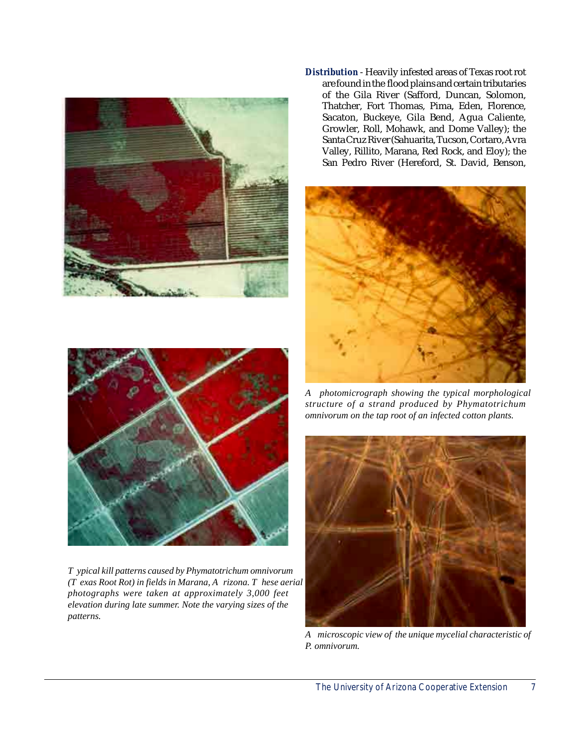



*T ypical kill patterns caused by Phymatotrichum omnivorum (T exas Root Rot) in fields in Marana, A rizona. T hese aerial photographs were taken at approximately 3,000 feet elevation during late summer. Note the varying sizes of the patterns.*

*Distribution* - Heavily infested areas of Texas root rot are found in the flood plains and certain tributaries of the Gila River (Safford, Duncan, Solomon, Thatcher, Fort Thomas, Pima, Eden, Florence, Sacaton, Buckeye, Gila Bend, Agua Caliente, Growler, Roll, Mohawk, and Dome Valley); the Santa Cruz River (Sahuarita, Tucson, Cortaro, Avra Valley, Rillito, Marana, Red Rock, and Eloy); the San Pedro River (Hereford, St. David, Benson,



*A photomicrograph showing the typical morphological structure of a strand produced by Phymatotrichum omnivorum on the tap root of an infected cotton plants.*



*A microscopic view of the unique mycelial characteristic of P. omnivorum.*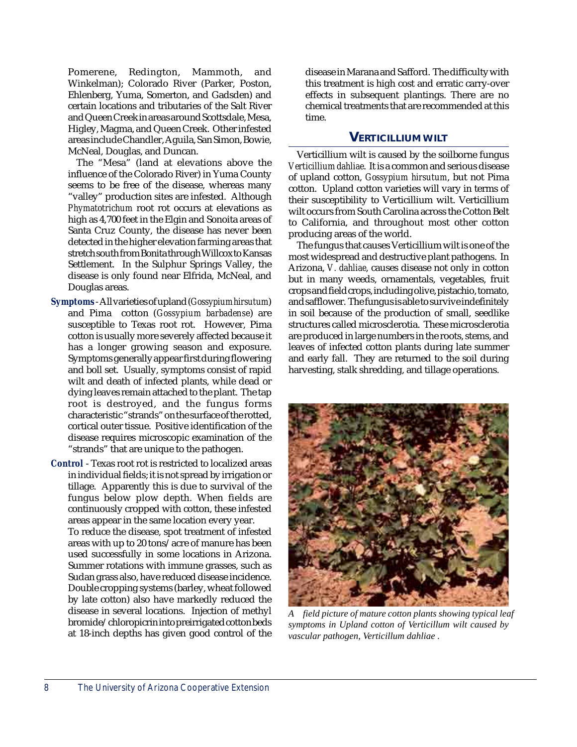Pomerene, Redington, Mammoth, and Winkelman); Colorado River (Parker, Poston, Ehlenberg, Yuma, Somerton, and Gadsden) and certain locations and tributaries of the Salt River and Queen Creek in areas around Scottsdale, Mesa, Higley, Magma, and Queen Creek. Other infested areas include Chandler, Aguila, San Simon, Bowie, McNeal, Douglas, and Duncan.

The "Mesa" (land at elevations above the influence of the Colorado River) in Yuma County seems to be free of the disease, whereas many "valley" production sites are infested. Although *Phymatotrichum* root rot occurs at elevations as high as 4,700 feet in the Elgin and Sonoita areas of Santa Cruz County, the disease has never been detected in the higher elevation farming areas that stretch south from Bonita through Willcox to Kansas Settlement. In the Sulphur Springs Valley, the disease is only found near Elfrida, McNeal, and Douglas areas.

- *Symptoms* All varieties of upland (*Gossypium hirsutum*) and Pima cotton (*Gossypium barbadense*) are susceptible to Texas root rot. However, Pima cotton is usually more severely affected because it has a longer growing season and exposure. Symptoms generally appear first during flowering and boll set. Usually, symptoms consist of rapid wilt and death of infected plants, while dead or dying leaves remain attached to the plant. The tap root is destroyed, and the fungus forms characteristic "strands" on the surface of the rotted, cortical outer tissue. Positive identification of the disease requires microscopic examination of the "strands" that are unique to the pathogen.
- *Control*  Texas root rot is restricted to localized areas in individual fields; it is not spread by irrigation or tillage. Apparently this is due to survival of the fungus below plow depth. When fields are continuously cropped with cotton, these infested areas appear in the same location every year.

To reduce the disease, spot treatment of infested areas with up to 20 tons/acre of manure has been used successfully in some locations in Arizona. Summer rotations with immune grasses, such as Sudan grass also, have reduced disease incidence. Double cropping systems (barley, wheat followed by late cotton) also have markedly reduced the disease in several locations. Injection of methyl bromide/chloropicrin into preirrigated cotton beds at 18-inch depths has given good control of the disease in Marana and Safford. The difficulty with this treatment is high cost and erratic carry-over effects in subsequent plantings. There are no chemical treatments that are recommended at this time.

#### **VERTICILLIUM WILT**

Verticillium wilt is caused by the soilborne fungus *Verticillium dahliae*. It is a common and serious disease of upland cotton, *Gossypium hirsutum*, but not Pima cotton. Upland cotton varieties will vary in terms of their susceptibility to Verticillium wilt. Verticillium wilt occurs from South Carolina across the Cotton Belt to California, and throughout most other cotton producing areas of the world.

The fungus that causes Verticillium wilt is one of the most widespread and destructive plant pathogens. In Arizona, *V. dahliae*, causes disease not only in cotton but in many weeds, ornamentals, vegetables, fruit crops and field crops, including olive, pistachio, tomato, and safflower. The fungus is able to survive indefinitely in soil because of the production of small, seedlike structures called microsclerotia. These microsclerotia are produced in large numbers in the roots, stems, and leaves of infected cotton plants during late summer and early fall. They are returned to the soil during harvesting, stalk shredding, and tillage operations.



*A field picture of mature cotton plants showing typical leaf symptoms in Upland cotton of Verticillum wilt caused by vascular pathogen, Verticillum dahliae .*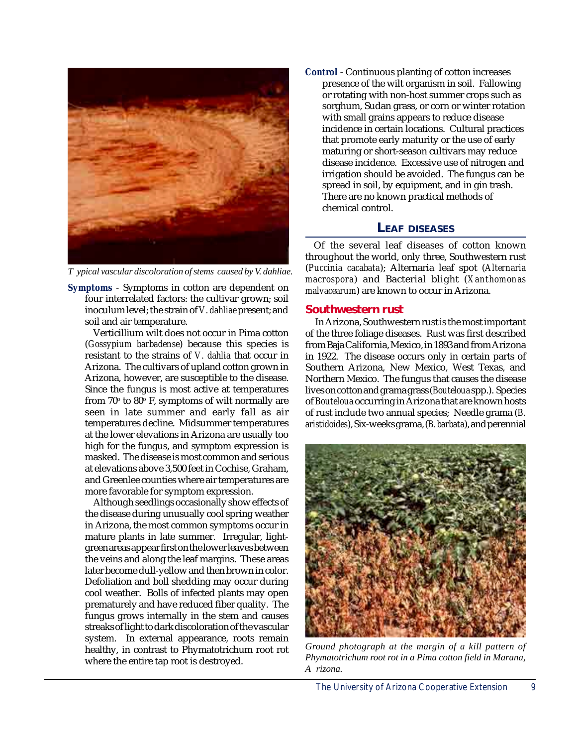

*T ypical vascular discoloration of stems caused by V. dahliae.*

*Symptoms* - Symptoms in cotton are dependent on four interrelated factors: the cultivar grown; soil inoculum level; the strain of *V. dahliae* present; and soil and air temperature.

Verticillium wilt does not occur in Pima cotton (*Gossypium barbadense*) because this species is resistant to the strains of *V. dahlia* that occur in Arizona. The cultivars of upland cotton grown in Arizona, however, are susceptible to the disease. Since the fungus is most active at temperatures from 70° to 80° F, symptoms of wilt normally are seen in late summer and early fall as air temperatures decline. Midsummer temperatures at the lower elevations in Arizona are usually too high for the fungus, and symptom expression is masked. The disease is most common and serious at elevations above 3,500 feet in Cochise, Graham, and Greenlee counties where air temperatures are more favorable for symptom expression.

Although seedlings occasionally show effects of the disease during unusually cool spring weather in Arizona, the most common symptoms occur in mature plants in late summer. Irregular, lightgreen areas appear first on the lower leaves between the veins and along the leaf margins. These areas later become dull-yellow and then brown in color. Defoliation and boll shedding may occur during cool weather. Bolls of infected plants may open prematurely and have reduced fiber quality. The fungus grows internally in the stem and causes streaks of light to dark discoloration of the vascular system. In external appearance, roots remain healthy, in contrast to Phymatotrichum root rot where the entire tap root is destroyed.

*Control* - Continuous planting of cotton increases presence of the wilt organism in soil. Fallowing or rotating with non-host summer crops such as sorghum, Sudan grass, or corn or winter rotation with small grains appears to reduce disease incidence in certain locations. Cultural practices that promote early maturity or the use of early maturing or short-season cultivars may reduce disease incidence. Excessive use of nitrogen and irrigation should be avoided. The fungus can be spread in soil, by equipment, and in gin trash. There are no known practical methods of chemical control.

## **LEAF DISEASES**

Of the several leaf diseases of cotton known throughout the world, only three, Southwestern rust (*Puccinia cacabata*); Alternaria leaf spot (*Alternaria macrospora*) and Bacterial blight (*Xanthomonas malvacearum*) are known to occur in Arizona.

#### **Southwestern rust**

 In Arizona, Southwestern rust is the most important of the three foliage diseases. Rust was first described from Baja California, Mexico, in 1893 and from Arizona in 1922. The disease occurs only in certain parts of Southern Arizona, New Mexico, West Texas, and Northern Mexico. The fungus that causes the disease lives on cotton and grama grass (*Bouteloua* spp.). Species of *Bouteloua* occurring in Arizona that are known hosts of rust include two annual species; Needle grama (*B. aristidoides*), Six-weeks grama, (*B. barbata*), and perennial



*Ground photograph at the margin of a kill pattern of Phymatotrichum root rot in a Pima cotton field in Marana, A rizona.*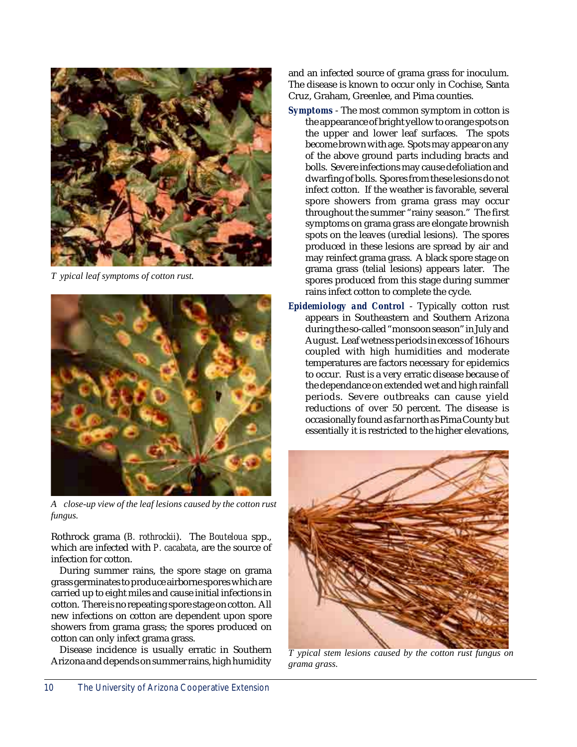

*T ypical leaf symptoms of cotton rust.*



*A close-up view of the leaf lesions caused by the cotton rust fungus.*

Rothrock grama (*B. rothrockii*). The *Bouteloua* spp., which are infected with *P. cacabata*, are the source of infection for cotton.

During summer rains, the spore stage on grama grass germinates to produce airborne spores which are carried up to eight miles and cause initial infections in cotton. There is no repeating spore stage on cotton. All new infections on cotton are dependent upon spore showers from grama grass; the spores produced on cotton can only infect grama grass.

Disease incidence is usually erratic in Southern Arizona and depends on summer rains, high humidity and an infected source of grama grass for inoculum. The disease is known to occur only in Cochise, Santa Cruz, Graham, Greenlee, and Pima counties.

- *Symptoms* The most common symptom in cotton is the appearance of bright yellow to orange spots on the upper and lower leaf surfaces. The spots become brown with age. Spots may appear on any of the above ground parts including bracts and bolls. Severe infections may cause defoliation and dwarfing of bolls. Spores from these lesions do not infect cotton. If the weather is favorable, several spore showers from grama grass may occur throughout the summer "rainy season." The first symptoms on grama grass are elongate brownish spots on the leaves (uredial lesions). The spores produced in these lesions are spread by air and may reinfect grama grass. A black spore stage on grama grass (telial lesions) appears later. The spores produced from this stage during summer rains infect cotton to complete the cycle.
- *Epidemiology and Control* Typically cotton rust appears in Southeastern and Southern Arizona during the so-called "monsoon season" in July and August. Leaf wetness periods in excess of 16 hours coupled with high humidities and moderate temperatures are factors necessary for epidemics to occur. Rust is a very erratic disease because of the dependance on extended wet and high rainfall periods. Severe outbreaks can cause yield reductions of over 50 percent. The disease is occasionally found as far north as Pima County but essentially it is restricted to the higher elevations,



*T ypical stem lesions caused by the cotton rust fungus on grama grass.*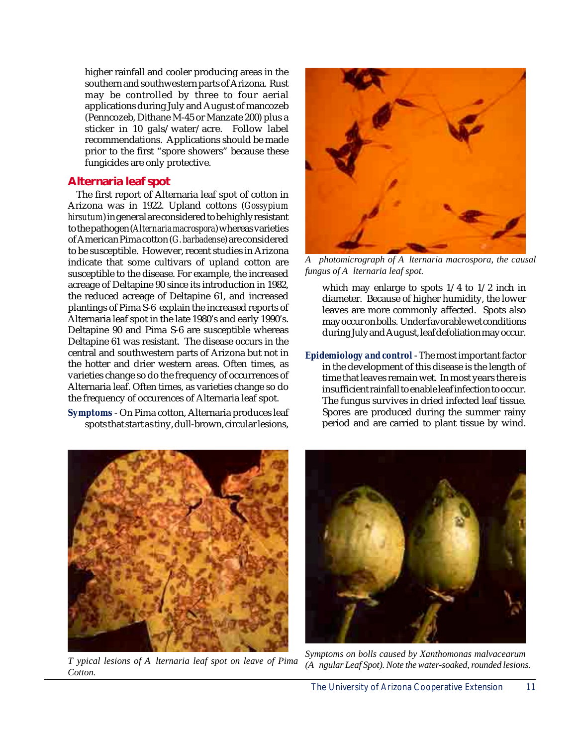higher rainfall and cooler producing areas in the southern and southwestern parts of Arizona. Rust may be controlled by three to four aerial applications during July and August of mancozeb (Penncozeb, Dithane M-45 or Manzate 200) plus a sticker in 10 gals/water/acre. Follow label recommendations. Applications should be made prior to the first "spore showers" because these fungicides are only protective.

#### **Alternaria leaf spot**

The first report of Alternaria leaf spot of cotton in Arizona was in 1922. Upland cottons (*Gossypium hirsutum*) in general are considered to be highly resistant to the pathogen (*Alternaria macrospora*) whereas varieties of American Pima cotton (*G. barbadense*) are considered to be susceptible. However, recent studies in Arizona indicate that some cultivars of upland cotton are susceptible to the disease. For example, the increased acreage of Deltapine 90 since its introduction in 1982, the reduced acreage of Deltapine 61, and increased plantings of Pima S-6 explain the increased reports of Alternaria leaf spot in the late 1980's and early 1990's. Deltapine 90 and Pima S-6 are susceptible whereas Deltapine 61 was resistant. The disease occurs in the central and southwestern parts of Arizona but not in the hotter and drier western areas. Often times, as varieties change so do the frequency of occurrences of Alternaria leaf. Often times, as varieties change so do the frequency of occurences of Alternaria leaf spot.

*Symptoms* - On Pima cotton, Alternaria produces leaf spots that start as tiny, dull-brown, circular lesions,



*A photomicrograph of A lternaria macrospora, the causal fungus of A lternaria leaf spot.*

which may enlarge to spots 1/4 to 1/2 inch in diameter. Because of higher humidity, the lower leaves are more commonly affected. Spots also may occur on bolls. Under favorable wet conditions during July and August, leaf defoliation may occur.

*Epidemiology and control* - The most important factor in the development of this disease is the length of time that leaves remain wet. In most years there is insufficient rainfall to enable leaf infection to occur. The fungus survives in dried infected leaf tissue. Spores are produced during the summer rainy period and are carried to plant tissue by wind.



*T ypical lesions of A lternaria leaf spot on leave of Pima Cotton.*



*Symptoms on bolls caused by Xanthomonas malvacearum (A ngular Leaf Spot). Note the water-soaked, rounded lesions.*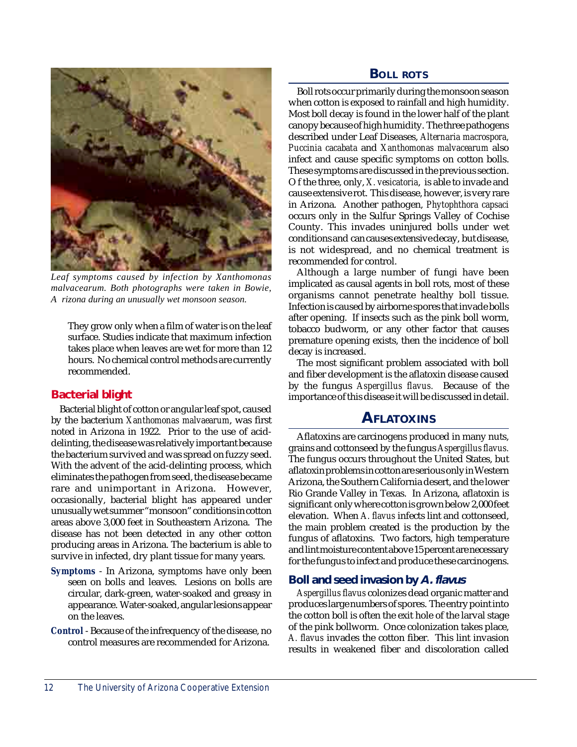

*Leaf symptoms caused by infection by Xanthomonas malvacearum. Both photographs were taken in Bowie, A rizona during an unusually wet monsoon season.*

They grow only when a film of water is on the leaf surface. Studies indicate that maximum infection takes place when leaves are wet for more than 12 hours. No chemical control methods are currently recommended.

#### **Bacterial blight**

Bacterial blight of cotton or angular leaf spot, caused by the bacterium *Xanthomonas malvaearum*, was first noted in Arizona in 1922. Prior to the use of aciddelinting, the disease was relatively important because the bacterium survived and was spread on fuzzy seed. With the advent of the acid-delinting process, which eliminates the pathogen from seed, the disease became rare and unimportant in Arizona. However, occasionally, bacterial blight has appeared under unusually wet summer "monsoon" conditions in cotton areas above 3,000 feet in Southeastern Arizona. The disease has not been detected in any other cotton producing areas in Arizona. The bacterium is able to survive in infected, dry plant tissue for many years.

- *Symptoms*  In Arizona, symptoms have only been seen on bolls and leaves. Lesions on bolls are circular, dark-green, water-soaked and greasy in appearance. Water-soaked, angular lesions appear on the leaves.
- *Control*  Because of the infrequency of the disease, no control measures are recommended for Arizona.

#### **BOLL ROTS**

Boll rots occur primarily during the monsoon season when cotton is exposed to rainfall and high humidity. Most boll decay is found in the lower half of the plant canopy because of high humidity. The three pathogens described under Leaf Diseases, *Alternaria macrospora, Puccinia cacabata* and *Xanthomonas malvacearum* also infect and cause specific symptoms on cotton bolls. These symptoms are discussed in the previous section. O f the three, only, *X. vesicatoria*, is able to invade and cause extensive rot. This disease, however, is very rare in Arizona. Another pathogen, *Phytophthora capsaci* occurs only in the Sulfur Springs Valley of Cochise County. This invades uninjured bolls under wet conditions and can causes extensive decay, but disease, is not widespread, and no chemical treatment is recommended for control.

Although a large number of fungi have been implicated as causal agents in boll rots, most of these organisms cannot penetrate healthy boll tissue. Infection is caused by airborne spores that invade bolls after opening. If insects such as the pink boll worm, tobacco budworm, or any other factor that causes premature opening exists, then the incidence of boll decay is increased.

The most significant problem associated with boll and fiber development is the aflatoxin disease caused by the fungus *Aspergillus flavus.* Because of the importance of this disease it will be discussed in detail.

# **AFLATOXINS**

Aflatoxins are carcinogens produced in many nuts, grains and cottonseed by the fungus *Aspergillus flavus.* The fungus occurs throughout the United States, but aflatoxin problems in cotton are serious only in Western Arizona, the Southern California desert, and the lower Rio Grande Valley in Texas. In Arizona, aflatoxin is significant only where cotton is grown below 2,000 feet elevation. When *A. flavus* infects lint and cottonseed, the main problem created is the production by the fungus of aflatoxins. Two factors, high temperature and lint moisture content above 15 percent are necessary for the fungus to infect and produce these carcinogens.

#### **Boll and seed invasion by A. flavus**

*Aspergillus flavus* colonizes dead organic matter and produces large numbers of spores. The entry point into the cotton boll is often the exit hole of the larval stage of the pink bollworm. Once colonization takes place, *A. flavus* invades the cotton fiber. This lint invasion results in weakened fiber and discoloration called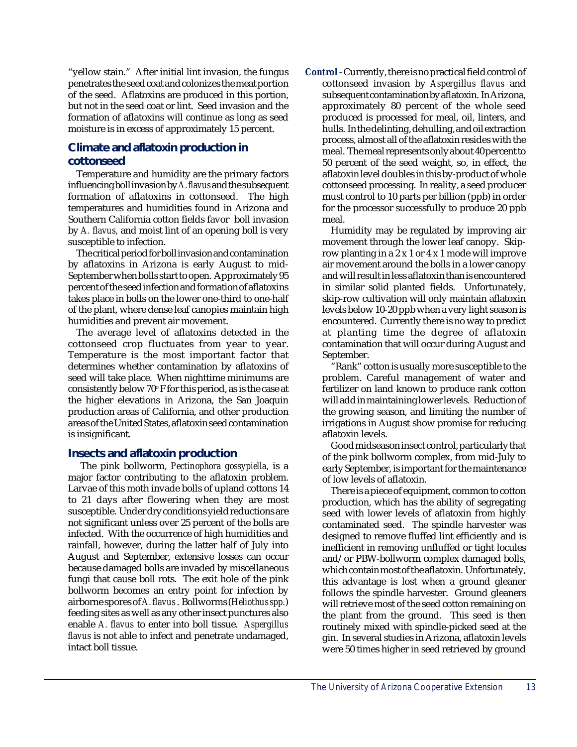"yellow stain." After initial lint invasion, the fungus penetrates the seed coat and colonizes the meat portion of the seed. Aflatoxins are produced in this portion, but not in the seed coat or lint. Seed invasion and the formation of aflatoxins will continue as long as seed moisture is in excess of approximately 15 percent.

# **Climate and aflatoxin production in cottonseed**

Temperature and humidity are the primary factors influencing boll invasion by *A. flavus* and the subsequent formation of aflatoxins in cottonseed. The high temperatures and humidities found in Arizona and Southern California cotton fields favor boll invasion by *A. flavus,* and moist lint of an opening boll is very susceptible to infection.

The critical period for boll invasion and contamination by aflatoxins in Arizona is early August to mid-September when bolls start to open. Approximately 95 percent of the seed infection and formation of aflatoxins takes place in bolls on the lower one-third to one-half of the plant, where dense leaf canopies maintain high humidities and prevent air movement.

The average level of aflatoxins detected in the cottonseed crop fluctuates from year to year. Temperature is the most important factor that determines whether contamination by aflatoxins of seed will take place. When nighttime minimums are consistently below 70° F for this period, as is the case at the higher elevations in Arizona, the San Joaquin production areas of California, and other production areas of the United States, aflatoxin seed contamination is insignificant.

#### **Insects and aflatoxin production**

 The pink bollworm, *Pectinophora gossypiella,* is a major factor contributing to the aflatoxin problem. Larvae of this moth invade bolls of upland cottons 14 to 21 days after flowering when they are most susceptible. Under dry conditions yield reductions are not significant unless over 25 percent of the bolls are infected. With the occurrence of high humidities and rainfall, however, during the latter half of July into August and September, extensive losses can occur because damaged bolls are invaded by miscellaneous fungi that cause boll rots. The exit hole of the pink bollworm becomes an entry point for infection by airborne spores of *A. flavus* . Bollworms (*Heliothus spp.*) feeding sites as well as any other insect punctures also enable *A. flavus* to enter into boll tissue. *Aspergillus flavus* is not able to infect and penetrate undamaged, intact boll tissue.

*Control* - Currently, there is no practical field control of cottonseed invasion by *Aspergillus flavus* and subsequent contamination by aflatoxin. In Arizona, approximately 80 percent of the whole seed produced is processed for meal, oil, linters, and hulls. In the delinting, dehulling, and oil extraction process, almost all of the aflatoxin resides with the meal. The meal represents only about 40 percent to 50 percent of the seed weight, so, in effect, the aflatoxin level doubles in this by-product of whole cottonseed processing. In reality, a seed producer must control to 10 parts per billion (ppb) in order for the processor successfully to produce 20 ppb meal.

Humidity may be regulated by improving air movement through the lower leaf canopy. Skiprow planting in a 2 x 1 or 4 x 1 mode will improve air movement around the bolls in a lower canopy and will result in less aflatoxin than is encountered in similar solid planted fields. Unfortunately, skip-row cultivation will only maintain aflatoxin levels below 10-20 ppb when a very light season is encountered. Currently there is no way to predict at planting time the degree of aflatoxin contamination that will occur during August and September.

"Rank" cotton is usually more susceptible to the problem. Careful management of water and fertilizer on land known to produce rank cotton will add in maintaining lower levels. Reduction of the growing season, and limiting the number of irrigations in August show promise for reducing aflatoxin levels.

Good midseason insect control, particularly that of the pink bollworm complex, from mid-July to early September, is important for the maintenance of low levels of aflatoxin.

There is a piece of equipment, common to cotton production, which has the ability of segregating seed with lower levels of aflatoxin from highly contaminated seed. The spindle harvester was designed to remove fluffed lint efficiently and is inefficient in removing unfluffed or tight locules and/or PBW-bollworm complex damaged bolls, which contain most of the aflatoxin. Unfortunately, this advantage is lost when a ground gleaner follows the spindle harvester. Ground gleaners will retrieve most of the seed cotton remaining on the plant from the ground. This seed is then routinely mixed with spindle-picked seed at the gin. In several studies in Arizona, aflatoxin levels were 50 times higher in seed retrieved by ground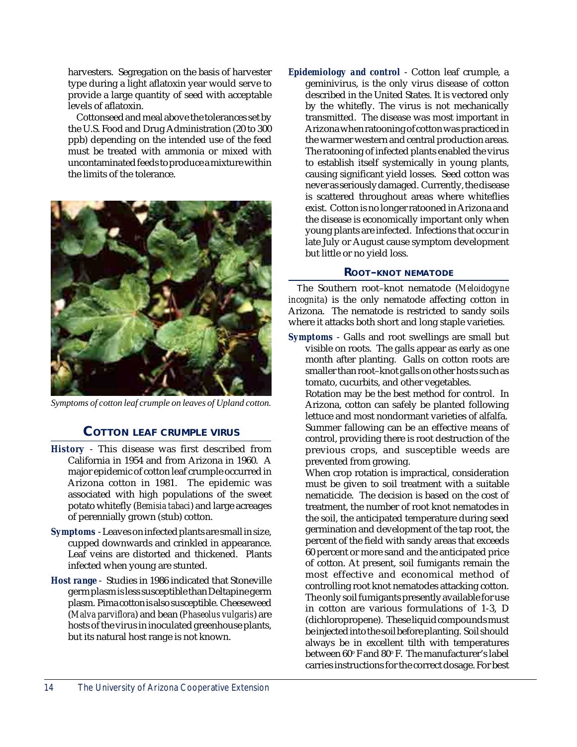harvesters. Segregation on the basis of harvester type during a light aflatoxin year would serve to provide a large quantity of seed with acceptable levels of aflatoxin.

Cottonseed and meal above the tolerances set by the U.S. Food and Drug Administration (20 to 300 ppb) depending on the intended use of the feed must be treated with ammonia or mixed with uncontaminated feeds to produce a mixture within the limits of the tolerance.



*Symptoms of cotton leaf crumple on leaves of Upland cotton.*

#### **COTTON LEAF CRUMPLE VIRUS**

- *History*  This disease was first described from California in 1954 and from Arizona in 1960. A major epidemic of cotton leaf crumple occurred in Arizona cotton in 1981. The epidemic was associated with high populations of the sweet potato whitefly (*Bemisia tabaci*) and large acreages of perennially grown (stub) cotton.
- *Symptoms* Leaves on infected plants are small in size, cupped downwards and crinkled in appearance. Leaf veins are distorted and thickened. Plants infected when young are stunted.
- *Host range*  Studies in 1986 indicated that Stoneville germ plasm is less susceptible than Deltapine germ plasm. Pima cotton is also susceptible. Cheeseweed (*Malva parviflora*) and bean (*Phaseolus vulgaris*) are hosts of the virus in inoculated greenhouse plants, but its natural host range is not known.

*Epidemiology and control* - Cotton leaf crumple, a geminivirus, is the only virus disease of cotton described in the United States. It is vectored only by the whitefly. The virus is not mechanically transmitted. The disease was most important in Arizona when ratooning of cotton was practiced in the warmer western and central production areas. The ratooning of infected plants enabled the virus to establish itself systemically in young plants, causing significant yield losses. Seed cotton was never as seriously damaged. Currently, the disease is scattered throughout areas where whiteflies exist. Cotton is no longer ratooned in Arizona and the disease is economically important only when young plants are infected. Infections that occur in late July or August cause symptom development but little or no yield loss.

#### **ROOT–KNOT NEMATODE**

The Southern root–knot nematode (*Meloidogyne incognita*) is the only nematode affecting cotton in Arizona. The nematode is restricted to sandy soils where it attacks both short and long staple varieties.

*Symptoms* - Galls and root swellings are small but visible on roots. The galls appear as early as one month after planting. Galls on cotton roots are smaller than root–knot galls on other hosts such as tomato, cucurbits, and other vegetables.

Rotation may be the best method for control. In Arizona, cotton can safely be planted following lettuce and most nondormant varieties of alfalfa. Summer fallowing can be an effective means of control, providing there is root destruction of the previous crops, and susceptible weeds are prevented from growing.

When crop rotation is impractical, consideration must be given to soil treatment with a suitable nematicide. The decision is based on the cost of treatment, the number of root knot nematodes in the soil, the anticipated temperature during seed germination and development of the tap root, the percent of the field with sandy areas that exceeds 60 percent or more sand and the anticipated price of cotton. At present, soil fumigants remain the most effective and economical method of controlling root knot nematodes attacking cotton. The only soil fumigants presently available for use in cotton are various formulations of 1-3, D (dichloropropene). These liquid compounds must be injected into the soil before planting. Soil should always be in excellent tilth with temperatures between 60° F and 80° F. The manufacturer's label carries instructions for the correct dosage. For best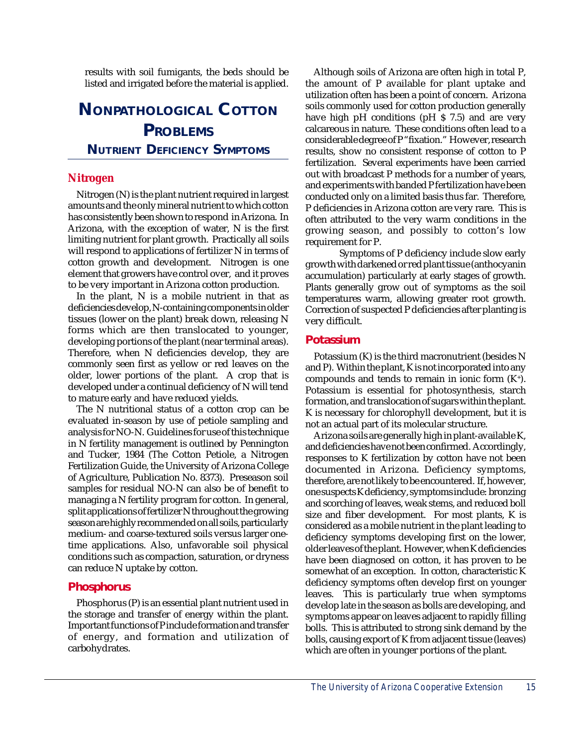results with soil fumigants, the beds should be listed and irrigated before the material is applied.

# **NONPATHOLOGICAL COTTON PROBLEMS NUTRIENT DEFICIENCY SYMPTOMS**

### **Nitrogen**

Nitrogen (N) is the plant nutrient required in largest amounts and the only mineral nutrient to which cotton has consistently been shown to respond in Arizona. In Arizona, with the exception of water, N is the first limiting nutrient for plant growth. Practically all soils will respond to applications of fertilizer N in terms of cotton growth and development. Nitrogen is one element that growers have control over, and it proves to be very important in Arizona cotton production.

In the plant, N is a mobile nutrient in that as deficiencies develop, N-containing components in older tissues (lower on the plant) break down, releasing N forms which are then translocated to younger, developing portions of the plant (near terminal areas). Therefore, when N deficiencies develop, they are commonly seen first as yellow or red leaves on the older, lower portions of the plant. A crop that is developed under a continual deficiency of N will tend to mature early and have reduced yields.

The N nutritional status of a cotton crop can be evaluated in-season by use of petiole sampling and analysis for NO-N. Guidelines for use of this technique in N fertility management is outlined by Pennington and Tucker, 1984 (The Cotton Petiole, a Nitrogen Fertilization Guide, the University of Arizona College of Agriculture, Publication No. 8373). Preseason soil samples for residual NO-N can also be of benefit to managing a N fertility program for cotton. In general, split applications of fertilizer N throughout the growing season are highly recommended on all soils, particularly medium- and coarse-textured soils versus larger onetime applications. Also, unfavorable soil physical conditions such as compaction, saturation, or dryness can reduce N uptake by cotton.

#### **Phosphorus**

Phosphorus (P) is an essential plant nutrient used in the storage and transfer of energy within the plant. Important functions of P include formation and transfer of energy, and formation and utilization of carbohydrates.

Although soils of Arizona are often high in total P, the amount of P available for plant uptake and utilization often has been a point of concern. Arizona soils commonly used for cotton production generally have high pH conditions (pH \$ 7.5) and are very calcareous in nature. These conditions often lead to a considerable degree of P "fixation." However, research results, show no consistent response of cotton to P fertilization. Several experiments have been carried out with broadcast P methods for a number of years, and experiments with banded P fertilization have been conducted only on a limited basis thus far. Therefore, P deficiencies in Arizona cotton are very rare. This is often attributed to the very warm conditions in the growing season, and possibly to cotton's low requirement for P.

Symptoms of P deficiency include slow early growth with darkened or red plant tissue (anthocyanin accumulation) particularly at early stages of growth. Plants generally grow out of symptoms as the soil temperatures warm, allowing greater root growth. Correction of suspected P deficiencies after planting is very difficult.

#### **Potassium**

Potassium (K) is the third macronutrient (besides N and P). Within the plant, K is not incorporated into any compounds and tends to remain in ionic form  $(K^+)$ . Potassium is essential for photosynthesis, starch formation, and translocation of sugars within the plant. K is necessary for chlorophyll development, but it is not an actual part of its molecular structure.

Arizona soils are generally high in plant-available K, and deficiencies have not been confirmed. Accordingly, responses to K fertilization by cotton have not been documented in Arizona. Deficiency symptoms, therefore, are not likely to be encountered. If, however, one suspects K deficiency, symptoms include: bronzing and scorching of leaves, weak stems, and reduced boll size and fiber development. For most plants, K is considered as a mobile nutrient in the plant leading to deficiency symptoms developing first on the lower, older leaves of the plant. However, when K deficiencies have been diagnosed on cotton, it has proven to be somewhat of an exception. In cotton, characteristic K deficiency symptoms often develop first on younger leaves. This is particularly true when symptoms develop late in the season as bolls are developing, and symptoms appear on leaves adjacent to rapidly filling bolls. This is attributed to strong sink demand by the bolls, causing export of K from adjacent tissue (leaves) which are often in younger portions of the plant.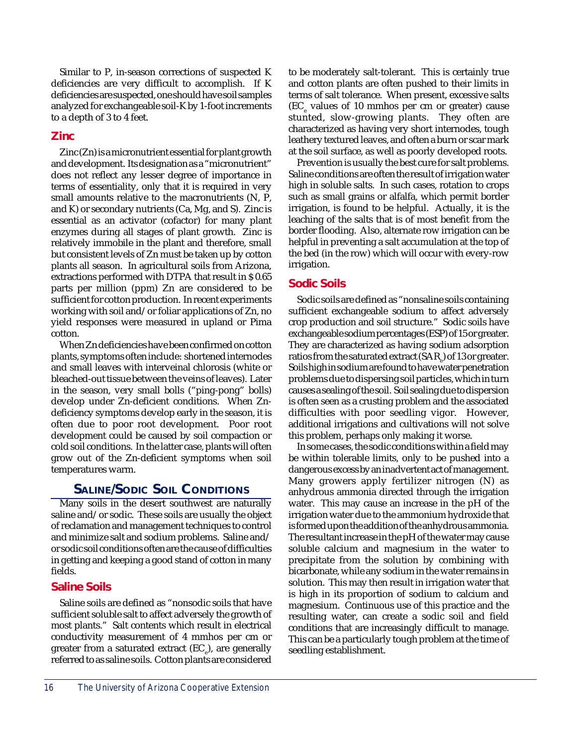Similar to P, in-season corrections of suspected K deficiencies are very difficult to accomplish. If K deficiencies are suspected, one should have soil samples analyzed for exchangeable soil-K by 1-foot increments to a depth of 3 to 4 feet.

## **Zinc**

Zinc (Zn) is a micronutrient essential for plant growth and development. Its designation as a "micronutrient" does not reflect any lesser degree of importance in terms of essentiality, only that it is required in very small amounts relative to the macronutrients (N, P, and K) or secondary nutrients (Ca, Mg, and S). Zinc is essential as an activator (cofactor) for many plant enzymes during all stages of plant growth. Zinc is relatively immobile in the plant and therefore, small but consistent levels of Zn must be taken up by cotton plants all season. In agricultural soils from Arizona, extractions performed with DTPA that result in \$ 0.65 parts per million (ppm) Zn are considered to be sufficient for cotton production. In recent experiments working with soil and/or foliar applications of Zn, no yield responses were measured in upland or Pima cotton.

When Zn deficiencies have been confirmed on cotton plants, symptoms often include: shortened internodes and small leaves with interveinal chlorosis (white or bleached-out tissue between the veins of leaves). Later in the season, very small bolls ("ping-pong" bolls) develop under Zn-deficient conditions. When Zndeficiency symptoms develop early in the season, it is often due to poor root development. Poor root development could be caused by soil compaction or cold soil conditions. In the latter case, plants will often grow out of the Zn-deficient symptoms when soil temperatures warm.

# **SALINE/SODIC SOIL CONDITIONS**

Many soils in the desert southwest are naturally saline and/or sodic. These soils are usually the object of reclamation and management techniques to control and minimize salt and sodium problems. Saline and/ or sodic soil conditions often are the cause of difficulties in getting and keeping a good stand of cotton in many fields.

# **Saline Soils**

Saline soils are defined as "nonsodic soils that have sufficient soluble salt to affect adversely the growth of most plants." Salt contents which result in electrical conductivity measurement of 4 mmhos per cm or greater from a saturated extract (EC $_{\rm e}$ ), are generally referred to as saline soils. Cotton plants are considered

to be moderately salt-tolerant. This is certainly true and cotton plants are often pushed to their limits in terms of salt tolerance. When present, excessive salts  $(EC<sub>e</sub>$  values of 10 mmhos per cm or greater) cause stunted, slow-growing plants. They often are characterized as having very short internodes, tough leathery textured leaves, and often a burn or scar mark at the soil surface, as well as poorly developed roots.

Prevention is usually the best cure for salt problems. Saline conditions are often the result of irrigation water high in soluble salts. In such cases, rotation to crops such as small grains or alfalfa, which permit border irrigation, is found to be helpful. Actually, it is the leaching of the salts that is of most benefit from the border flooding. Also, alternate row irrigation can be helpful in preventing a salt accumulation at the top of the bed (in the row) which will occur with every-row irrigation.

#### **Sodic Soils**

Sodic soils are defined as "nonsaline soils containing sufficient exchangeable sodium to affect adversely crop production and soil structure." Sodic soils have exchangeable sodium percentages (ESP) of 15 or greater. They are characterized as having sodium adsorption ratios from the saturated extract (SAR<sub>e</sub>) of 13 or greater. Soils high in sodium are found to have water penetration problems due to dispersing soil particles, which in turn causes a sealing of the soil. Soil sealing due to dispersion is often seen as a crusting problem and the associated difficulties with poor seedling vigor. However, additional irrigations and cultivations will not solve this problem, perhaps only making it worse.

In some cases, the sodic conditions within a field may be within tolerable limits, only to be pushed into a dangerous excess by an inadvertent act of management. Many growers apply fertilizer nitrogen (N) as anhydrous ammonia directed through the irrigation water. This may cause an increase in the pH of the irrigation water due to the ammonium hydroxide that is formed upon the addition of the anhydrous ammonia. The resultant increase in the pH of the water may cause soluble calcium and magnesium in the water to precipitate from the solution by combining with bicarbonate, while any sodium in the water remains in solution. This may then result in irrigation water that is high in its proportion of sodium to calcium and magnesium. Continuous use of this practice and the resulting water, can create a sodic soil and field conditions that are increasingly difficult to manage. This can be a particularly tough problem at the time of seedling establishment.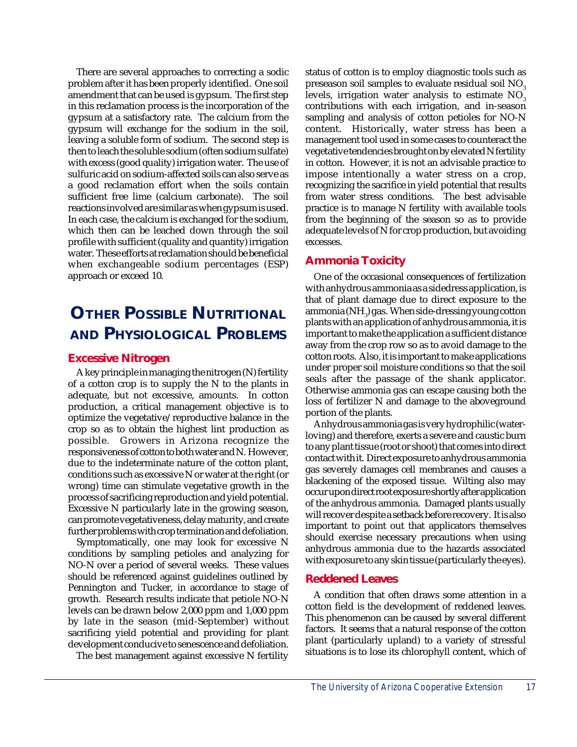There are several approaches to correcting a sodic problem after it has been properly identified. One soil amendment that can be used is gypsum. The first step in this reclamation process is the incorporation of the gypsum at a satisfactory rate. The calcium from the gypsum will exchange for the sodium in the soil, leaving a soluble form of sodium. The second step is then to leach the soluble sodium (often sodium sulfate) with excess (good quality) irrigation water. The use of sulfuric acid on sodium-affected soils can also serve as a good reclamation effort when the soils contain sufficient free lime (calcium carbonate). The soil reactions involved are similar as when gypsum is used. In each case, the calcium is exchanged for the sodium, which then can be leached down through the soil profile with sufficient (quality and quantity) irrigation water. These efforts at reclamation should be beneficial when exchangeable sodium percentages (ESP) approach or exceed 10.

# **OTHER POSSIBLE NUTRITIONAL AND PHYSIOLOGICAL PROBLEMS**

#### **Excessive Nitrogen**

A key principle in managing the nitrogen (N) fertility of a cotton crop is to supply the N to the plants in adequate, but not excessive, amounts. In cotton production, a critical management objective is to optimize the vegetative/reproductive balance in the crop so as to obtain the highest lint production as possible. Growers in Arizona recognize the responsiveness of cotton to both water and N. However, due to the indeterminate nature of the cotton plant, conditions such as excessive N or water at the right (or wrong) time can stimulate vegetative growth in the process of sacrificing reproduction and yield potential. Excessive N particularly late in the growing season, can promote vegetativeness, delay maturity, and create further problems with crop termination and defoliation.

Symptomatically, one may look for excessive N conditions by sampling petioles and analyzing for NO-N over a period of several weeks. These values should be referenced against guidelines outlined by Pennington and Tucker, in accordance to stage of growth. Research results indicate that petiole NO-N levels can be drawn below 2,000 ppm and 1,000 ppm by late in the season (mid-September) without sacrificing yield potential and providing for plant development conducive to senescence and defoliation.

The best management against excessive N fertility

status of cotton is to employ diagnostic tools such as preseason soil samples to evaluate residual soil NO<sub>3</sub> levels, irrigation water analysis to estimate  $NO<sub>3</sub>$ contributions with each irrigation, and in-season sampling and analysis of cotton petioles for NO-N content. Historically, water stress has been a management tool used in some cases to counteract the vegetative tendencies brought on by elevated N fertility in cotton. However, it is not an advisable practice to impose intentionally a water stress on a crop, recognizing the sacrifice in yield potential that results from water stress conditions. The best advisable practice is to manage N fertility with available tools from the beginning of the season so as to provide adequate levels of N for crop production, but avoiding excesses.

# **Ammonia Toxicity**

One of the occasional consequences of fertilization with anhydrous ammonia as a sidedress application, is that of plant damage due to direct exposure to the ammonia (NH $_{\rm_3}$ ) gas. When side-dressing young cotton plants with an application of anhydrous ammonia, it is important to make the application a sufficient distance away from the crop row so as to avoid damage to the cotton roots. Also, it is important to make applications under proper soil moisture conditions so that the soil seals after the passage of the shank applicator. Otherwise ammonia gas can escape causing both the loss of fertilizer N and damage to the aboveground portion of the plants.

Anhydrous ammonia gas is very hydrophilic (waterloving) and therefore, exerts a severe and caustic burn to any plant tissue (root or shoot) that comes into direct contact with it. Direct exposure to anhydrous ammonia gas severely damages cell membranes and causes a blackening of the exposed tissue. Wilting also may occur upon direct root exposure shortly after application of the anhydrous ammonia. Damaged plants usually will recover despite a setback before recovery. It is also important to point out that applicators themselves should exercise necessary precautions when using anhydrous ammonia due to the hazards associated with exposure to any skin tissue (particularly the eyes).

#### **Reddened Leaves**

A condition that often draws some attention in a cotton field is the development of reddened leaves. This phenomenon can be caused by several different factors. It seems that a natural response of the cotton plant (particularly upland) to a variety of stressful situations is to lose its chlorophyll content, which of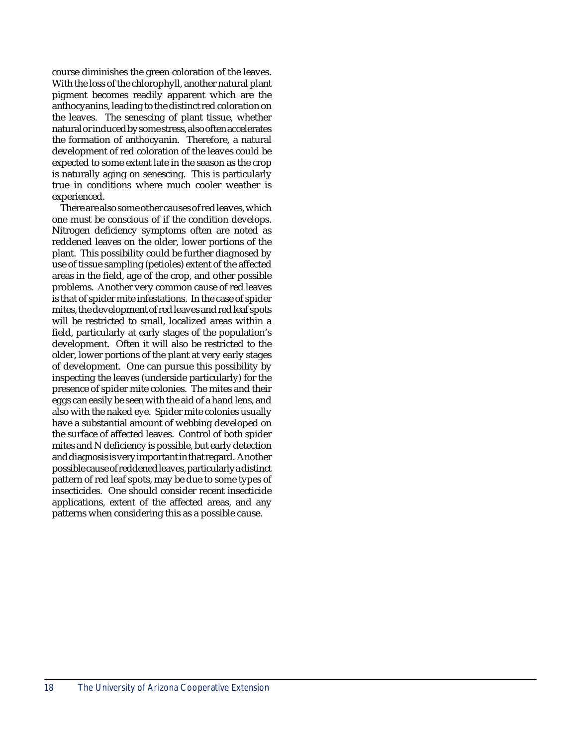course diminishes the green coloration of the leaves. With the loss of the chlorophyll, another natural plant pigment becomes readily apparent which are the anthocyanins, leading to the distinct red coloration on the leaves. The senescing of plant tissue, whether natural or induced by some stress, also often accelerates the formation of anthocyanin. Therefore, a natural development of red coloration of the leaves could be expected to some extent late in the season as the crop is naturally aging on senescing. This is particularly true in conditions where much cooler weather is experienced.

There are also some other causes of red leaves, which one must be conscious of if the condition develops. Nitrogen deficiency symptoms often are noted as reddened leaves on the older, lower portions of the plant. This possibility could be further diagnosed by use of tissue sampling (petioles) extent of the affected areas in the field, age of the crop, and other possible problems. Another very common cause of red leaves is that of spider mite infestations. In the case of spider mites, the development of red leaves and red leaf spots will be restricted to small, localized areas within a field, particularly at early stages of the population's development. Often it will also be restricted to the older, lower portions of the plant at very early stages of development. One can pursue this possibility by inspecting the leaves (underside particularly) for the presence of spider mite colonies. The mites and their eggs can easily be seen with the aid of a hand lens, and also with the naked eye. Spider mite colonies usually have a substantial amount of webbing developed on the surface of affected leaves. Control of both spider mites and N deficiency is possible, but early detection and diagnosis is very important in that regard. Another possible cause of reddened leaves, particularly a distinct pattern of red leaf spots, may be due to some types of insecticides. One should consider recent insecticide applications, extent of the affected areas, and any patterns when considering this as a possible cause.